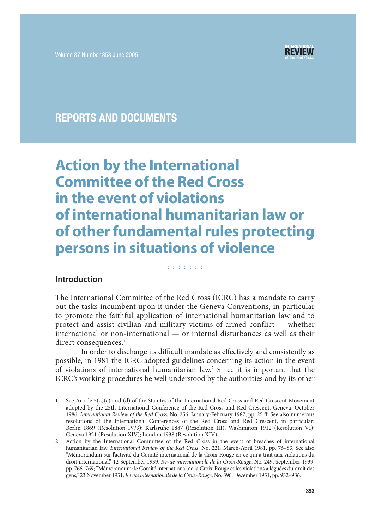

# **REPORTS AND DOCUMENTS**

# **Action by the International Committee of the Red Cross in the event of violations of international humanitarian law or of other fundamental rules protecting persons in situations of violence**

**: : : : : : :**

# **Introduction**

The International Committee of the Red Cross (ICRC) has a mandate to carry out the tasks incumbent upon it under the Geneva Conventions, in particular to promote the faithful application of international humanitarian law and to protect and assist civilian and military victims of armed conflict — whether international or non-international — or internal disturbances as well as their direct consequences.<sup>1</sup>

In order to discharge its difficult mandate as effectively and consistently as possible, in 1981 the ICRC adopted guidelines concerning its action in the event of violations of international humanitarian law.2 Since it is important that the ICRC's working procedures be well understood by the authorities and by its other

1 See Article 5(2)(c) and (d) of the Statutes of the International Red Cross and Red Crescent Movement adopted by the 25th International Conference of the Red Cross and Red Crescent, Geneva, October 1986, *International Review of the Red Cross*, No. 256, January-February 1987, pp. 25 ff . See also numerous resolutions of the International Conferences of the Red Cross and Red Crescent, in particular: Berlin 1869 (Resolution IV/3); Karlsruhe 1887 (Resolution III); Washington 1912 (Resolution VI); Geneva 1921 (Resolution XIV); London 1938 (Resolution XIV).

2 Action by the International Committee of the Red Cross in the event of breaches of international humanitarian law, *International Review of the Red Cross*, No. 221, March-April 1981, pp. 76–83. See also "Mémorandum sur l'activité du Comité international de la Croix-Rouge en ce qui a trait aux violations du droit international," 12 September 1939, *Revue internationale de la Croix-Rouge*, No. 249, September 1939, pp. 766–769; "Mémorandum: le Comité international de la Croix-Rouge et les violations alléguées du droit des gens," 23 November 1951, *Revue internationale de la Croix-Rouge*, No. 396, December 1951, pp. 932–936.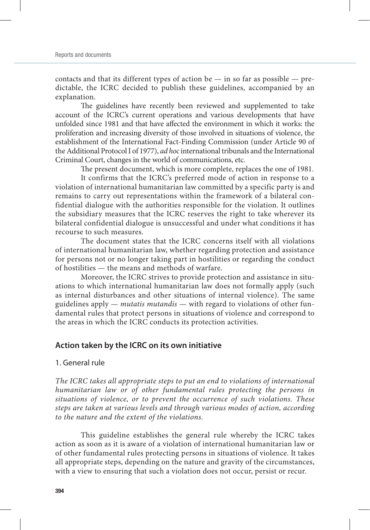contacts and that its different types of action be  $-$  in so far as possible  $-$  predictable, the ICRC decided to publish these guidelines, accompanied by an explanation.

The guidelines have recently been reviewed and supplemented to take account of the ICRC's current operations and various developments that have unfolded since 1981 and that have affected the environment in which it works: the proliferation and increasing diversity of those involved in situations of violence, the establishment of the International Fact-Finding Commission (under Article 90 of the Additional Protocol I of 1977), *ad hoc* international tribunals and the International Criminal Court, changes in the world of communications, etc.

The present document, which is more complete, replaces the one of 1981.

It confirms that the ICRC's preferred mode of action in response to a violation of international humanitarian law committed by a specific party is and remains to carry out representations within the framework of a bilateral confidential dialogue with the authorities responsible for the violation. It outlines the subsidiary measures that the ICRC reserves the right to take wherever its bilateral confidential dialogue is unsuccessful and under what conditions it has recourse to such measures.

The document states that the ICRC concerns itself with all violations of international humanitarian law, whether regarding protection and assistance for persons not or no longer taking part in hostilities or regarding the conduct of hostilities — the means and methods of warfare.

Moreover, the ICRC strives to provide protection and assistance in situations to which international humanitarian law does not formally apply (such as internal disturbances and other situations of internal violence). The same guidelines apply — *mutatis mutandis* — with regard to violations of other fundamental rules that protect persons in situations of violence and correspond to the areas in which the ICRC conducts its protection activities.

# **Action taken by the ICRC on its own initiative**

#### 1. General rule

*The ICRC takes all appropriate steps to put an end to violations of international humanitarian law or of other fundamental rules protecting the persons in situations of violence, or to prevent the occurrence of such violations. These steps are taken at various levels and through various modes of action, according to the nature and the extent of the violations.* 

This guideline establishes the general rule whereby the ICRC takes action as soon as it is aware of a violation of international humanitarian law or of other fundamental rules protecting persons in situations of violence. It takes all appropriate steps, depending on the nature and gravity of the circumstances, with a view to ensuring that such a violation does not occur, persist or recur.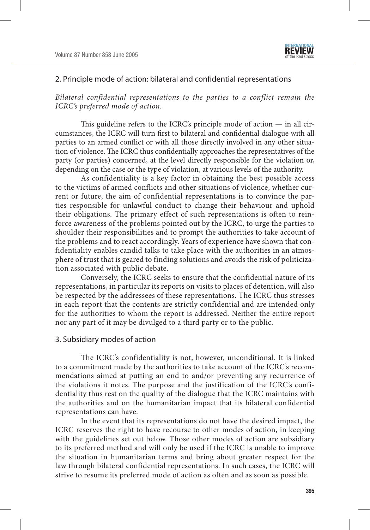

#### 2. Principle mode of action: bilateral and confidential representations

*Bilateral confidential representations to the parties to a conflict remain the ICRC's preferred mode of action.*

This guideline refers to the ICRC's principle mode of action  $-$  in all circumstances, the ICRC will turn first to bilateral and confidential dialogue with all parties to an armed conflict or with all those directly involved in any other situation of violence. The ICRC thus confidentially approaches the representatives of the party (or parties) concerned, at the level directly responsible for the violation or, depending on the case or the type of violation, at various levels of the authority.

As confidentiality is a key factor in obtaining the best possible access to the victims of armed conflicts and other situations of violence, whether current or future, the aim of confidential representations is to convince the parties responsible for unlawful conduct to change their behaviour and uphold their obligations. The primary effect of such representations is often to reinforce awareness of the problems pointed out by the ICRC, to urge the parties to shoulder their responsibilities and to prompt the authorities to take account of the problems and to react accordingly. Years of experience have shown that confidentiality enables candid talks to take place with the authorities in an atmosphere of trust that is geared to finding solutions and avoids the risk of politicization associated with public debate.

Conversely, the ICRC seeks to ensure that the confidential nature of its representations, in particular its reports on visits to places of detention, will also be respected by the addressees of these representations. The ICRC thus stresses in each report that the contents are strictly confidential and are intended only for the authorities to whom the report is addressed. Neither the entire report nor any part of it may be divulged to a third party or to the public.

#### 3. Subsidiary modes of action

The ICRC's confidentiality is not, however, unconditional. It is linked to a commitment made by the authorities to take account of the ICRC's recommendations aimed at putting an end to and/or preventing any recurrence of the violations it notes. The purpose and the justification of the ICRC's confidentiality thus rest on the quality of the dialogue that the ICRC maintains with the authorities and on the humanitarian impact that its bilateral confidential representations can have.

In the event that its representations do not have the desired impact, the ICRC reserves the right to have recourse to other modes of action, in keeping with the guidelines set out below. Those other modes of action are subsidiary to its preferred method and will only be used if the ICRC is unable to improve the situation in humanitarian terms and bring about greater respect for the law through bilateral confidential representations. In such cases, the ICRC will strive to resume its preferred mode of action as often and as soon as possible.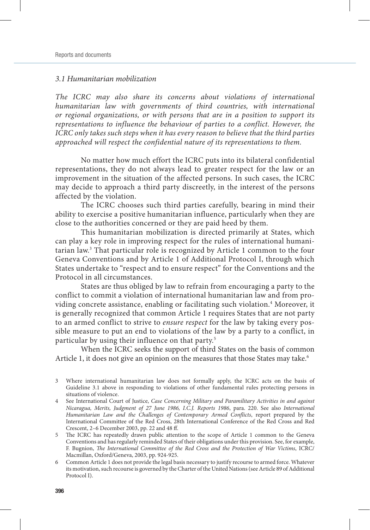#### *3.1 Humanitarian mobilization*

*The ICRC may also share its concerns about violations of international humanitarian law with governments of third countries, with international or regional organizations, or with persons that are in a position to support its representations to influence the behaviour of parties to a conflict. However, the ICRC only takes such steps when it has every reason to believe that the third parties approached will respect the confidential nature of its representations to them.* 

No matter how much effort the ICRC puts into its bilateral confidential representations, they do not always lead to greater respect for the law or an improvement in the situation of the affected persons. In such cases, the ICRC may decide to approach a third party discreetly, in the interest of the persons affected by the violation.

The ICRC chooses such third parties carefully, bearing in mind their ability to exercise a positive humanitarian influence, particularly when they are close to the authorities concerned or they are paid heed by them.

This humanitarian mobilization is directed primarily at States, which can play a key role in improving respect for the rules of international humanitarian law.3 That particular role is recognized by Article 1 common to the four Geneva Conventions and by Article 1 of Additional Protocol I, through which States undertake to "respect and to ensure respect" for the Conventions and the Protocol in all circumstances.

States are thus obliged by law to refrain from encouraging a party to the conflict to commit a violation of international humanitarian law and from providing concrete assistance, enabling or facilitating such violation.<sup>4</sup> Moreover, it is generally recognized that common Article 1 requires States that are not party to an armed conflict to strive to *ensure respect* for the law by taking every possible measure to put an end to violations of the law by a party to a conflict, in particular by using their influence on that party.5

When the ICRC seeks the support of third States on the basis of common Article 1, it does not give an opinion on the measures that those States may take.<sup>6</sup>

<sup>3</sup> Where international humanitarian law does not formally apply, the ICRC acts on the basis of Guideline 3.1 above in responding to violations of other fundamental rules protecting persons in situations of violence.

<sup>4</sup> See International Court of Justice, *Case Concerning Military and Paramilitary Activities in and against Nicaragua, Merits, Judgment of 27 June 1986, I.C.J. Reports 1986*, para. 220. See also *International Humanitarian Law and the Challenges of Contemporary Armed Conflicts*, report prepared by the International Committee of the Red Cross, 28th International Conference of the Red Cross and Red Crescent, 2-6 December 2003, pp. 22 and 48 ff.

<sup>5</sup> The ICRC has repeatedly drawn public attention to the scope of Article 1 common to the Geneva Conventions and has regularly reminded States of their obligations under this provision. See, for example, F. Bugnion, *The International Committee of the Red Cross and the Protection of War Victims*, ICRC/ Macmillan, Oxford/Geneva, 2003, pp. 924-925.

<sup>6</sup> Common Article 1 does not provide the legal basis necessary to justify recourse to armed force. Whatever its motivation, such recourse is governed by the Charter of the United Nations (see Article 89 of Additional Protocol I).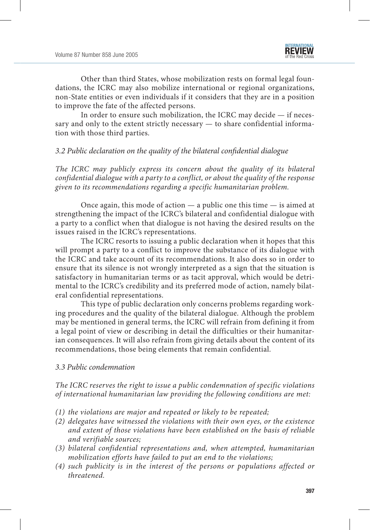

Other than third States, whose mobilization rests on formal legal foundations, the ICRC may also mobilize international or regional organizations, non-State entities or even individuals if it considers that they are in a position to improve the fate of the affected persons.

In order to ensure such mobilization, the ICRC may decide — if necessary and only to the extent strictly necessary — to share confidential information with those third parties.

#### 3.2 Public declaration on the quality of the bilateral confidential dialogue

*The ICRC may publicly express its concern about the quality of its bilateral confidential dialogue with a party to a conflict, or about the quality of the response given to its recommendations regarding a specific humanitarian problem.*

Once again, this mode of action  $-$  a public one this time  $-$  is aimed at strengthening the impact of the ICRC's bilateral and confidential dialogue with a party to a conflict when that dialogue is not having the desired results on the issues raised in the ICRC's representations.

The ICRC resorts to issuing a public declaration when it hopes that this will prompt a party to a conflict to improve the substance of its dialogue with the ICRC and take account of its recommendations. It also does so in order to ensure that its silence is not wrongly interpreted as a sign that the situation is satisfactory in humanitarian terms or as tacit approval, which would be detrimental to the ICRC's credibility and its preferred mode of action, namely bilateral confidential representations.

This type of public declaration only concerns problems regarding working procedures and the quality of the bilateral dialogue. Although the problem may be mentioned in general terms, the ICRC will refrain from defining it from a legal point of view or describing in detail the difficulties or their humanitarian consequences. It will also refrain from giving details about the content of its recommendations, those being elements that remain confidential.

#### *3.3 Public condemnation*

*The ICRC reserves the right to issue a public condemnation of specific violations of international humanitarian law providing the following conditions are met:*

- *(1) the violations are major and repeated or likely to be repeated;*
- *(2) delegates have witnessed the violations with their own eyes, or the existence and extent of those violations have been established on the basis of reliable and verifiable sources;*
- *(3) bilateral confidential representations and, when attempted, humanitarian mobilization efforts have failed to put an end to the violations;*
- *(4) such publicity is in the interest of the persons or populations affected or threatened.*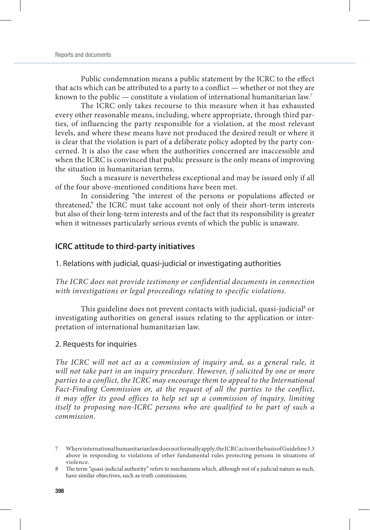Public condemnation means a public statement by the ICRC to the effect that acts which can be attributed to a party to a conflict — whether or not they are known to the public — constitute a violation of international humanitarian law.<sup>7</sup>

The ICRC only takes recourse to this measure when it has exhausted every other reasonable means, including, where appropriate, through third parties, of influencing the party responsible for a violation, at the most relevant levels, and where these means have not produced the desired result or where it is clear that the violation is part of a deliberate policy adopted by the party concerned. It is also the case when the authorities concerned are inaccessible and when the ICRC is convinced that public pressure is the only means of improving the situation in humanitarian terms.

Such a measure is nevertheless exceptional and may be issued only if all of the four above-mentioned conditions have been met.

In considering "the interest of the persons or populations affected or threatened," the ICRC must take account not only of their short-term interests but also of their long-term interests and of the fact that its responsibility is greater when it witnesses particularly serious events of which the public is unaware.

# **ICRC attitude to third-party initiatives**

1. Relations with judicial, quasi-judicial or investigating authorities

*The ICRC does not provide testimony or confidential documents in connection with investigations or legal proceedings relating to specific violations.* 

This guideline does not prevent contacts with judicial, quasi-judicial<sup>8</sup> or investigating authorities on general issues relating to the application or interpretation of international humanitarian law.

# 2. Requests for inquiries

The ICRC will not act as a commission of inquiry and, as a general rule, it will not take part in an inquiry procedure. However, if solicited by one or more *parties to a conflict, the ICRC may encourage them to appeal to the International Fact-Finding Commission or, at the request of all the parties to the conflict, it may offer its good offices to help set up a commission of inquiry, limiting itself to proposing non-ICRC persons who are qualified to be part of such a commission.*

<sup>7</sup> Where international humanitarian law does not formally apply, the ICRC acts on the basis of Guideline 3.3 above in responding to violations of other fundamental rules protecting persons in situations of violence.

<sup>8</sup> The term "quasi-judicial authority" refers to mechanisms which, although not of a judicial nature as such, have similar objectives, such as truth commissions.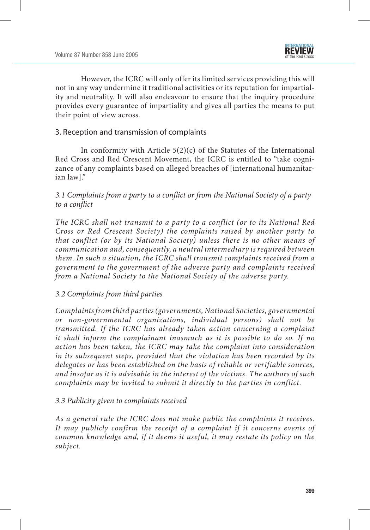

However, the ICRC will only offer its limited services providing this will not in any way undermine it traditional activities or its reputation for impartiality and neutrality. It will also endeavour to ensure that the inquiry procedure provides every guarantee of impartiality and gives all parties the means to put their point of view across.

# 3. Reception and transmission of complaints

In conformity with Article  $5(2)(c)$  of the Statutes of the International Red Cross and Red Crescent Movement, the ICRC is entitled to "take cognizance of any complaints based on alleged breaches of [international humanitarian law]."

# *3.1 Complaints from a party to a confl ict or from the National Society of a party*  to a conflict

*The ICRC shall not transmit to a party to a conflict (or to its National Red Cross or Red Crescent Society) the complaints raised by another party to that conflict (or by its National Society) unless there is no other means of communication and, consequently, a neutral intermediary is required between them. In such a situation, the ICRC shall transmit complaints received from a government to the government of the adverse party and complaints received from a National Society to the National Society of the adverse party.*

# *3.2 Complaints from third parties*

*Complaints from third parties (governments, National Societies, governmental or non-governmental organizations, individual persons) shall not be transmitted. If the ICRC has already taken action concerning a complaint it shall inform the complainant inasmuch as it is possible to do so. If no action has been taken, the ICRC may take the complaint into consideration in its subsequent steps, provided that the violation has been recorded by its delegates or has been established on the basis of reliable or verifiable sources, and insofar as it is advisable in the interest of the victims. The authors of such complaints may be invited to submit it directly to the parties in conflict.*

# *3.3 Publicity given to complaints received*

*As a general rule the ICRC does not make public the complaints it receives. It may publicly confirm the receipt of a complaint if it concerns events of common knowledge and, if it deems it useful, it may restate its policy on the subject.*